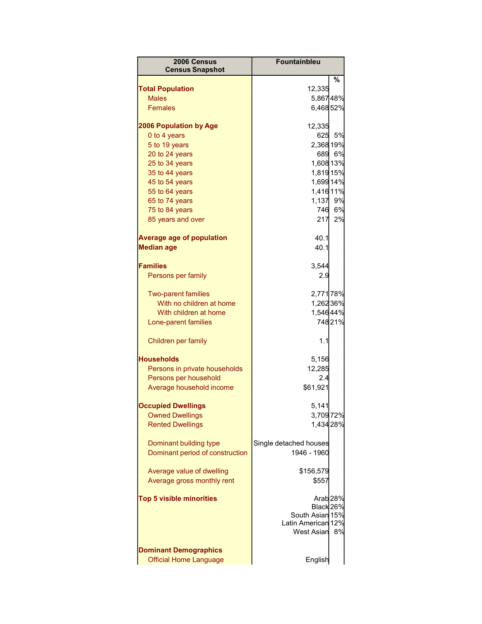| 2006 Census<br><b>Census Snapshot</b>                         | <b>Fountainbleu</b>                                                     |                           |
|---------------------------------------------------------------|-------------------------------------------------------------------------|---------------------------|
|                                                               |                                                                         | %                         |
| <b>Total Population</b>                                       | 12,335                                                                  |                           |
| <b>Males</b>                                                  | 5,86748%                                                                |                           |
| <b>Females</b>                                                | 6,46852%                                                                |                           |
| <b>2006 Population by Age</b>                                 | 12,335                                                                  |                           |
| 0 to 4 years                                                  | 625                                                                     | 5%                        |
| 5 to 19 years                                                 | 2,368 19%                                                               |                           |
| 20 to 24 years                                                | 689                                                                     | 6%                        |
| 25 to 34 years                                                | 1,608 13%                                                               |                           |
| 35 to 44 years                                                | 1,819 15%                                                               |                           |
| 45 to 54 years                                                | 1,699 14%                                                               |                           |
| 55 to 64 years                                                | 1,416 11%                                                               |                           |
| 65 to 74 years                                                | 1,137                                                                   | 9%                        |
| 75 to 84 years                                                | 746                                                                     | 6%                        |
| 85 years and over                                             | 217                                                                     | 2%                        |
| <b>Average age of population</b>                              | 40.1                                                                    |                           |
| <b>Median age</b>                                             | 40.1                                                                    |                           |
| <b>Families</b>                                               | 3,544                                                                   |                           |
| Persons per family                                            | 2.9                                                                     |                           |
| <b>Two-parent families</b>                                    | 2,771 78%                                                               |                           |
| With no children at home                                      | 1,26236%                                                                |                           |
| With children at home                                         | 1,54644%                                                                |                           |
| Lone-parent families                                          |                                                                         | 74821%                    |
|                                                               |                                                                         |                           |
| Children per family                                           | 1.1                                                                     |                           |
| <b>Households</b>                                             | 5,156                                                                   |                           |
| Persons in private households                                 | 12,285                                                                  |                           |
| Persons per household                                         | 2.4                                                                     |                           |
| Average household income                                      | \$61,921                                                                |                           |
| <b>Occupied Dwellings</b>                                     | 5,141                                                                   |                           |
| <b>Owned Dwellings</b>                                        | 3,70972%                                                                |                           |
| <b>Rented Dwellings</b>                                       | 1,434 28%                                                               |                           |
| Dominant building type<br>Dominant period of construction     | Single detached houses<br>1946 - 1960                                   |                           |
| Average value of dwelling                                     | \$156,579                                                               |                           |
| Average gross monthly rent                                    | \$557                                                                   |                           |
| <b>Top 5 visible minorities</b>                               | Black 26%<br>South Asian 15%<br>Latin American 12%<br><b>West Asian</b> | Arab <sub>28%</sub><br>8% |
| <b>Dominant Demographics</b><br><b>Official Home Language</b> | English                                                                 |                           |